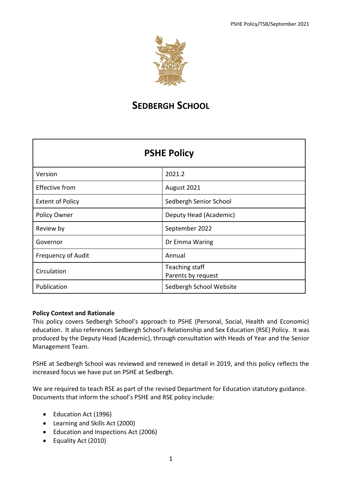

# **SEDBERGH SCHOOL**

| <b>PSHE Policy</b>        |                                      |  |  |
|---------------------------|--------------------------------------|--|--|
| Version                   | 2021.2                               |  |  |
| <b>Effective from</b>     | August 2021                          |  |  |
| <b>Extent of Policy</b>   | Sedbergh Senior School               |  |  |
| Policy Owner              | Deputy Head (Academic)               |  |  |
| Review by                 | September 2022                       |  |  |
| Governor                  | Dr Emma Waring                       |  |  |
| <b>Frequency of Audit</b> | Annual                               |  |  |
| Circulation               | Teaching staff<br>Parents by request |  |  |
| Publication               | Sedbergh School Website              |  |  |

## **Policy Context and Rationale**

This policy covers Sedbergh School's approach to PSHE (Personal, Social, Health and Economic) education. It also references Sedbergh School's Relationship and Sex Education (RSE) Policy. It was produced by the Deputy Head (Academic), through consultation with Heads of Year and the Senior Management Team.

PSHE at Sedbergh School was reviewed and renewed in detail in 2019, and this policy reflects the increased focus we have put on PSHE at Sedbergh.

We are required to teach RSE as part of the revised Department for Education statutory guidance. Documents that inform the school's PSHE and RSE policy include:

- Education Act (1996)
- Learning and Skills Act (2000)
- Education and Inspections Act (2006)
- Equality Act (2010)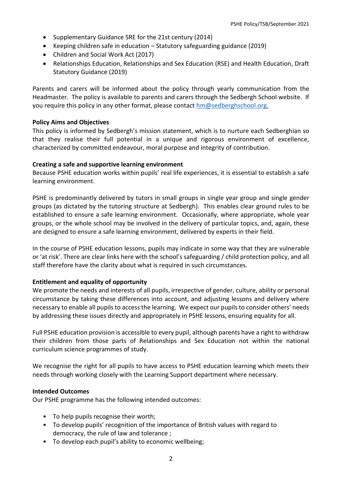- Supplementary Guidance SRE for the 21st century (2014)
- Keeping children safe in education Statutory safeguarding guidance (2019)
- Children and Social Work Act (2017)
- Relationships Education, Relationships and Sex Education (RSE) and Health Education, Draft Statutory Guidance (2019)

Parents and carers will be informed about the policy through yearly communication from the Headmaster. The policy is available to parents and carers through the Sedbergh School website. If you require this policy in any other format, please contact [hm@sedberghschool.org.](mailto:hm@sedberghschool.org)

## **Policy Aims and Objectives**

This policy is informed by Sedbergh's mission statement, which is to nurture each Sedberghian so that they realise their full potential in a unique and rigorous environment of excellence, characterized by committed endeavour, moral purpose and integrity of contribution.

## **Creating a safe and supportive learning environment**

Because PSHE education works within pupils' real life experiences, it is essential to establish a safe learning environment.

PSHE is predominantly delivered by tutors in small groups in single year group and single gender groups (as dictated by the tutoring structure at Sedbergh). This enables clear ground rules to be established to ensure a safe learning environment. Occasionally, where appropriate, whole year groups, or the whole school may be involved in the delivery of particular topics, and, again, these are designed to ensure a safe learning environment, delivered by experts in their field.

In the course of PSHE education lessons, pupils may indicate in some way that they are vulnerable or 'at risk'. There are clear links here with the school's safeguarding / child protection policy, and all staff therefore have the clarity about what is required in such circumstances.

## **Entitlement and equality of opportunity**

We promote the needs and interests of all pupils, irrespective of gender, culture, ability or personal circumstance by taking these differences into account, and adjusting lessons and delivery where necessary to enable all pupils to access the learning. We expect our pupils to consider others' needs by addressing these issues directly and appropriately in PSHE lessons, ensuring equality for all.

Full PSHE education provision is accessible to every pupil, although parents have a right to withdraw their children from those parts of Relationships and Sex Education not within the national curriculum science programmes of study.

We recognise the right for all pupils to have access to PSHE education learning which meets their needs through working closely with the Learning Support department where necessary.

#### **Intended Outcomes**

Our PSHE programme has the following intended outcomes:

- To help pupils recognise their worth;
- To develop pupils' recognition of the importance of British values with regard to democracy, the rule of law and tolerance ;
- To develop each pupil's ability to economic wellbeing;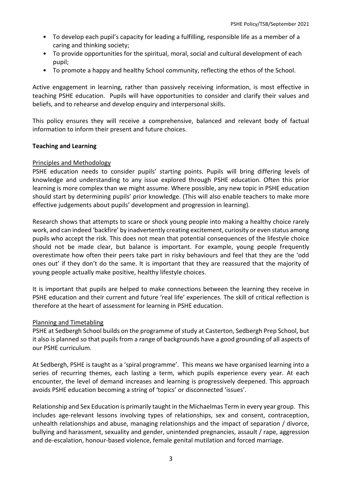- To develop each pupil's capacity for leading a fulfilling, responsible life as a member of a caring and thinking society;
- To provide opportunities for the spiritual, moral, social and cultural development of each pupil;
- To promote a happy and healthy School community, reflecting the ethos of the School.

Active engagement in learning, rather than passively receiving information, is most effective in teaching PSHE education. Pupils will have opportunities to consider and clarify their values and beliefs, and to rehearse and develop enquiry and interpersonal skills.

This policy ensures they will receive a comprehensive, balanced and relevant body of factual information to inform their present and future choices.

#### **Teaching and Learning**

## Principles and Methodology

PSHE education needs to consider pupils' starting points. Pupils will bring differing levels of knowledge and understanding to any issue explored through PSHE education. Often this prior learning is more complex than we might assume. Where possible, any new topic in PSHE education should start by determining pupils' prior knowledge. (This will also enable teachers to make more effective judgements about pupils' development and progression in learning).

Research shows that attempts to scare or shock young people into making a healthy choice rarely work, and can indeed 'backfire' by inadvertently creating excitement, curiosity or even status among pupils who accept the risk. This does not mean that potential consequences of the lifestyle choice should not be made clear, but balance is important. For example, young people frequently overestimate how often their peers take part in risky behaviours and feel that they are the 'odd ones out' if they don't do the same. It is important that they are reassured that the majority of young people actually make positive, healthy lifestyle choices.

It is important that pupils are helped to make connections between the learning they receive in PSHE education and their current and future 'real life' experiences. The skill of critical reflection is therefore at the heart of assessment for learning in PSHE education.

#### Planning and Timetabling

PSHE at Sedbergh School builds on the programme of study at Casterton, Sedbergh Prep School, but it also is planned so that pupils from a range of backgrounds have a good grounding of all aspects of our PSHE curriculum.

At Sedbergh, PSHE is taught as a 'spiral programme'. This means we have organised learning into a series of recurring themes, each lasting a term, which pupils experience every year. At each encounter, the level of demand increases and learning is progressively deepened. This approach avoids PSHE education becoming a string of 'topics' or disconnected 'issues'.

Relationship and Sex Education is primarily taught in the Michaelmas Term in every year group. This includes age-relevant lessons involving types of relationships, sex and consent, contraception, unhealth relationships and abuse, managing relationships and the impact of separation / divorce, bullying and harassment, sexuality and gender, unintended pregnancies, assault / rape, aggression and de-escalation, honour-based violence, female genital mutilation and forced marriage.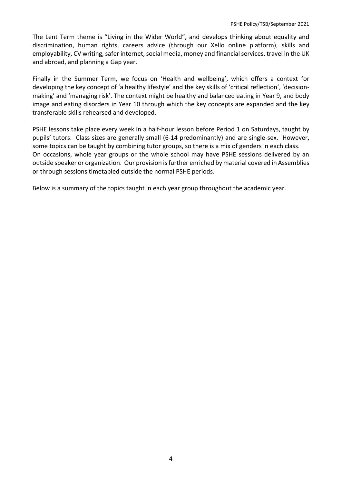The Lent Term theme is "Living in the Wider World", and develops thinking about equality and discrimination, human rights, careers advice (through our Xello online platform), skills and employability, CV writing, safer internet, social media, money and financial services, travel in the UK and abroad, and planning a Gap year.

Finally in the Summer Term, we focus on 'Health and wellbeing', which offers a context for developing the key concept of 'a healthy lifestyle' and the key skills of 'critical reflection', 'decisionmaking' and 'managing risk'. The context might be healthy and balanced eating in Year 9, and body image and eating disorders in Year 10 through which the key concepts are expanded and the key transferable skills rehearsed and developed.

PSHE lessons take place every week in a half-hour lesson before Period 1 on Saturdays, taught by pupils' tutors. Class sizes are generally small (6-14 predominantly) and are single-sex. However, some topics can be taught by combining tutor groups, so there is a mix of genders in each class. On occasions, whole year groups or the whole school may have PSHE sessions delivered by an outside speaker or organization. Our provision is further enriched by material covered in Assemblies or through sessions timetabled outside the normal PSHE periods.

Below is a summary of the topics taught in each year group throughout the academic year.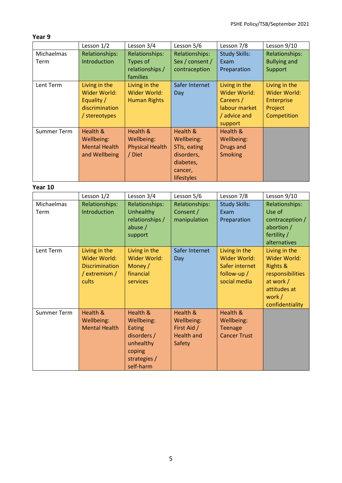## **Year 9**

|                    | Lesson 1/2           | Lesson 3/4             | Lesson 5/6      | Lesson 7/8           | Lesson 9/10         |
|--------------------|----------------------|------------------------|-----------------|----------------------|---------------------|
| Michaelmas         | Relationships:       | Relationships:         | Relationships:  | <b>Study Skills:</b> | Relationships:      |
| Term               | Introduction         | Types of               | Sex / consent / | Exam                 | <b>Bullying and</b> |
|                    |                      | relationships /        | contraception   | Preparation          | Support             |
|                    |                      | families               |                 |                      |                     |
| Lent Term          | Living in the        | Living in the          | Safer Internet  | Living in the        | Living in the       |
|                    | Wider World:         | Wider World:           | Day             | Wider World:         | <b>Wider World:</b> |
|                    | Equality /           | <b>Human Rights</b>    |                 | Careers /            | Enterprise          |
|                    | discrimination       |                        |                 | labour market        | Project             |
|                    | / stereotypes        |                        |                 | / advice and         | Competition         |
|                    |                      |                        |                 | support              |                     |
| <b>Summer Term</b> | Health &             | Health &               | Health &        | <b>Health &amp;</b>  |                     |
|                    | Wellbeing:           | Wellbeing:             | Wellbeing:      | Wellbeing:           |                     |
|                    | <b>Mental Health</b> | <b>Physical Health</b> | STIs, eating    | <b>Drugs and</b>     |                     |
|                    | and Wellbeing        | / Diet                 | disorders,      | <b>Smoking</b>       |                     |
|                    |                      |                        | diabetes,       |                      |                     |
|                    |                      |                        | cancer,         |                      |                     |
|                    |                      |                        | lifestyles      |                      |                     |

## **Year 10**

|                    | Lesson 1/2                                                                       | Lesson 3/4                                                                                          | Lesson 5/6                                                           | Lesson 7/8                                                                       | Lesson 9/10                                                                                                                       |
|--------------------|----------------------------------------------------------------------------------|-----------------------------------------------------------------------------------------------------|----------------------------------------------------------------------|----------------------------------------------------------------------------------|-----------------------------------------------------------------------------------------------------------------------------------|
| Michaelmas<br>Term | <b>Relationships:</b><br>Introduction                                            | <b>Relationships:</b><br>Unhealthy<br>relationships /<br>abuse /<br>support                         | Relationships:<br>Consent /<br>manipulation                          | <b>Study Skills:</b><br>Exam<br>Preparation                                      | <b>Relationships:</b><br>Use of<br>contraception /<br>abortion /<br>fertility /<br>alternatives                                   |
| Lent Term          | Living in the<br>Wider World:<br><b>Discrimination</b><br>/ extremism /<br>cults | Living in the<br>Wider World:<br>Money /<br>financial<br>services                                   | Safer Internet<br>Day                                                | Living in the<br>Wider World:<br>Safer internet<br>follow-up $/$<br>social media | Living in the<br>Wider World:<br><b>Rights &amp;</b><br>responsibilities<br>at work /<br>attitudes at<br>work/<br>confidentiality |
| <b>Summer Term</b> | Health &<br>Wellbeing:<br><b>Mental Health</b>                                   | Health &<br>Wellbeing:<br>Eating<br>disorders /<br>unhealthy<br>coping<br>strategies /<br>self-harm | Health &<br>Wellbeing:<br>First Aid /<br><b>Health and</b><br>Safety | Health &<br>Wellbeing:<br><b>Teenage</b><br><b>Cancer Trust</b>                  |                                                                                                                                   |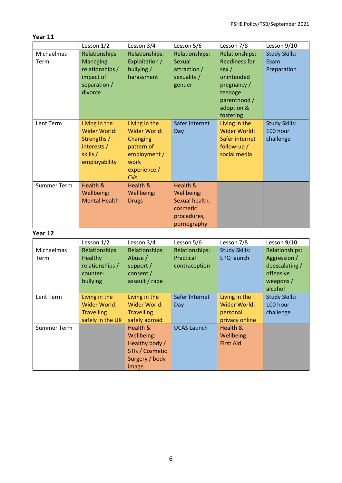## **Year 11**

|                    | Lesson 1/2                                                                                   | Lesson 3/4                                                                                                    | Lesson 5/6                                                                         | Lesson 7/8                                                                                                                        | Lesson 9/10                                                                                  |  |
|--------------------|----------------------------------------------------------------------------------------------|---------------------------------------------------------------------------------------------------------------|------------------------------------------------------------------------------------|-----------------------------------------------------------------------------------------------------------------------------------|----------------------------------------------------------------------------------------------|--|
| Michaelmas<br>Term | Relationships:<br><b>Managing</b><br>relationships /<br>impact of<br>separation /<br>divorce | <b>Relationships:</b><br>Exploitation /<br>bullying /<br>harassment                                           | Relationships:<br><b>Sexual</b><br>attraction /<br>sexuality /<br>gender           | Relationships:<br><b>Readiness for</b><br>sex/<br>unintended<br>pregnancy /<br>teenage<br>parenthood /<br>adoption &<br>fostering | <b>Study Skills:</b><br>Exam<br>Preparation                                                  |  |
| Lent Term          | Living in the<br>Wider World:<br>Strengths /<br>interests /<br>skills /<br>employability     | Living in the<br>Wider World:<br>Changing<br>pattern of<br>employment /<br>work<br>experience /<br><b>CVs</b> | Safer Internet<br>Day                                                              | Living in the<br>Wider World:<br>Safer internet<br>follow-up /<br>social media                                                    | <b>Study Skills:</b><br>100 hour<br>challenge                                                |  |
| <b>Summer Term</b> | Health &<br>Wellbeing:<br><b>Mental Health</b>                                               | Health &<br>Wellbeing:<br><b>Drugs</b>                                                                        | Health &<br>Wellbeing:<br>Sexual health,<br>cosmetic<br>procedures,<br>pornography |                                                                                                                                   |                                                                                              |  |
| Year 12            |                                                                                              |                                                                                                               |                                                                                    |                                                                                                                                   |                                                                                              |  |
|                    | Lesson 1/2                                                                                   | Lesson 3/4                                                                                                    | Lesson 5/6                                                                         | Lesson 7/8                                                                                                                        | Lesson 9/10                                                                                  |  |
| Michaelmas<br>Term | Relationships:<br>Healthy<br>relationships /<br>counter-<br>bullying                         | <b>Relationships:</b><br>Abuse /<br>support /<br>consent /<br>assault / rape                                  | Relationships:<br>Practical<br>contraception                                       | <b>Study Skills:</b><br><b>EPQ</b> launch                                                                                         | <b>Relationships:</b><br>Aggression /<br>deescalating /<br>offensive<br>weapons /<br>alcohol |  |
| Lent Term          | Living in the<br>Wider World:<br><b>Travelling</b><br>safely in the UK                       | Living in the<br>Wider World:<br><b>Travelling</b><br>safely abroad                                           | Safer Internet<br>Day                                                              | Living in the<br>Wider World:<br>personal<br>privacy online                                                                       | <b>Study Skills:</b><br>100 hour<br>challenge                                                |  |
| <b>Summer Term</b> |                                                                                              | Health &<br>Wellbeing:                                                                                        | <b>UCAS Launch</b>                                                                 | Health &<br>Wellbeing:                                                                                                            |                                                                                              |  |

First Aid

Healthy body / STIs / Cosmetic Surgery / body

image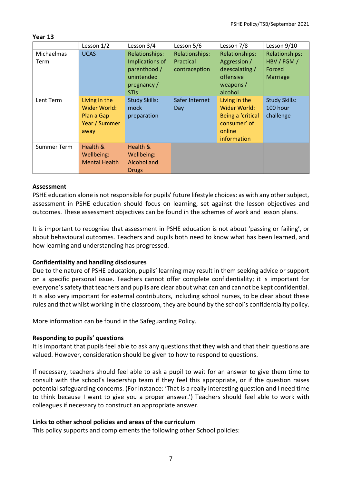#### **Year 13**

|                    | Lesson 1/2                                                           | Lesson 3/4                                                                                           | Lesson 5/6                                          | Lesson 7/8                                                                                  | Lesson 9/10                                         |
|--------------------|----------------------------------------------------------------------|------------------------------------------------------------------------------------------------------|-----------------------------------------------------|---------------------------------------------------------------------------------------------|-----------------------------------------------------|
| Michaelmas<br>Term | <b>UCAS</b>                                                          | <b>Relationships:</b><br>Implications of<br>parenthood /<br>unintended<br>pregnancy /<br><b>STIS</b> | Relationships:<br><b>Practical</b><br>contraception | Relationships:<br>Aggression /<br>deescalating /<br>offensive<br>weapons $/$<br>alcohol     | Relationships:<br>HBV / FGM /<br>Forced<br>Marriage |
| Lent Term          | Living in the<br>Wider World:<br>Plan a Gap<br>Year / Summer<br>away | <b>Study Skills:</b><br>mock<br>preparation                                                          | Safer Internet<br>Day                               | Living in the<br>Wider World:<br>Being a 'critical<br>consumer' of<br>online<br>information | <b>Study Skills:</b><br>100 hour<br>challenge       |
| <b>Summer Term</b> | Health &<br>Wellbeing:<br><b>Mental Health</b>                       | Health &<br>Wellbeing:<br><b>Alcohol and</b><br><b>Drugs</b>                                         |                                                     |                                                                                             |                                                     |

## **Assessment**

PSHE education alone is not responsible for pupils' future lifestyle choices: as with any other subject, assessment in PSHE education should focus on learning, set against the lesson objectives and outcomes. These assessment objectives can be found in the schemes of work and lesson plans.

It is important to recognise that assessment in PSHE education is not about 'passing or failing', or about behavioural outcomes. Teachers and pupils both need to know what has been learned, and how learning and understanding has progressed.

## **Confidentiality and handling disclosures**

Due to the nature of PSHE education, pupils' learning may result in them seeking advice or support on a specific personal issue. Teachers cannot offer complete confidentiality; it is important for everyone's safety that teachers and pupils are clear about what can and cannot be kept confidential. It is also very important for external contributors, including school nurses, to be clear about these rules and that whilst working in the classroom, they are bound by the school's confidentiality policy.

More information can be found in the Safeguarding Policy.

#### **Responding to pupils' questions**

It is important that pupils feel able to ask any questions that they wish and that their questions are valued. However, consideration should be given to how to respond to questions.

If necessary, teachers should feel able to ask a pupil to wait for an answer to give them time to consult with the school's leadership team if they feel this appropriate, or if the question raises potential safeguarding concerns. (For instance: 'That is a really interesting question and I need time to think because I want to give you a proper answer.') Teachers should feel able to work with colleagues if necessary to construct an appropriate answer.

## **Links to other school policies and areas of the curriculum**

This policy supports and complements the following other School policies: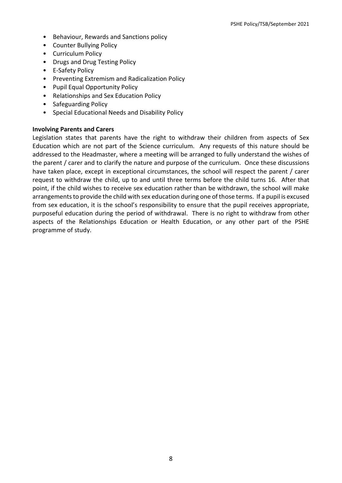- Behaviour, Rewards and Sanctions policy
- Counter Bullying Policy
- Curriculum Policy
- Drugs and Drug Testing Policy
- E-Safety Policy
- Preventing Extremism and Radicalization Policy
- Pupil Equal Opportunity Policy
- Relationships and Sex Education Policy
- Safeguarding Policy
- Special Educational Needs and Disability Policy

#### **Involving Parents and Carers**

Legislation states that parents have the right to withdraw their children from aspects of Sex Education which are not part of the Science curriculum. Any requests of this nature should be addressed to the Headmaster, where a meeting will be arranged to fully understand the wishes of the parent / carer and to clarify the nature and purpose of the curriculum. Once these discussions have taken place, except in exceptional circumstances, the school will respect the parent / carer request to withdraw the child, up to and until three terms before the child turns 16. After that point, if the child wishes to receive sex education rather than be withdrawn, the school will make arrangements to provide the child with sex education during one of those terms. If a pupil is excused from sex education, it is the school's responsibility to ensure that the pupil receives appropriate, purposeful education during the period of withdrawal. There is no right to withdraw from other aspects of the Relationships Education or Health Education, or any other part of the PSHE programme of study.